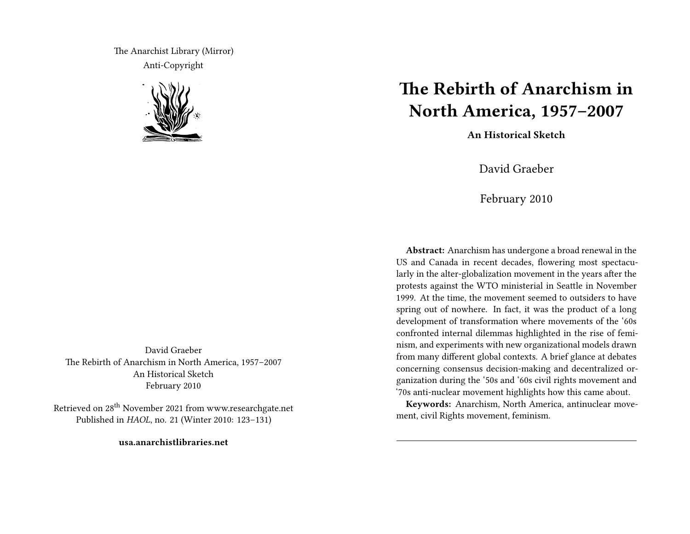The Anarchist Library (Mirror) Anti-Copyright



David Graeber The Rebirth of Anarchism in North America, 1957–2007 An Historical Sketch February 2010

Retrieved on 28th November 2021 from www.researchgate.net Published in *HAOL*, no. 21 (Winter 2010: 123–131)

**usa.anarchistlibraries.net**

## **The Rebirth of Anarchism in North America, 1957–2007**

**An Historical Sketch**

David Graeber

February 2010

**Abstract:** Anarchism has undergone a broad renewal in the US and Canada in recent decades, flowering most spectacularly in the alter-globalization movement in the years after the protests against the WTO ministerial in Seattle in November 1999. At the time, the movement seemed to outsiders to have spring out of nowhere. In fact, it was the product of a long development of transformation where movements of the '60s confronted internal dilemmas highlighted in the rise of feminism, and experiments with new organizational models drawn from many different global contexts. A brief glance at debates concerning consensus decision-making and decentralized organization during the '50s and '60s civil rights movement and '70s anti-nuclear movement highlights how this came about.

**Keywords:** Anarchism, North America, antinuclear movement, civil Rights movement, feminism.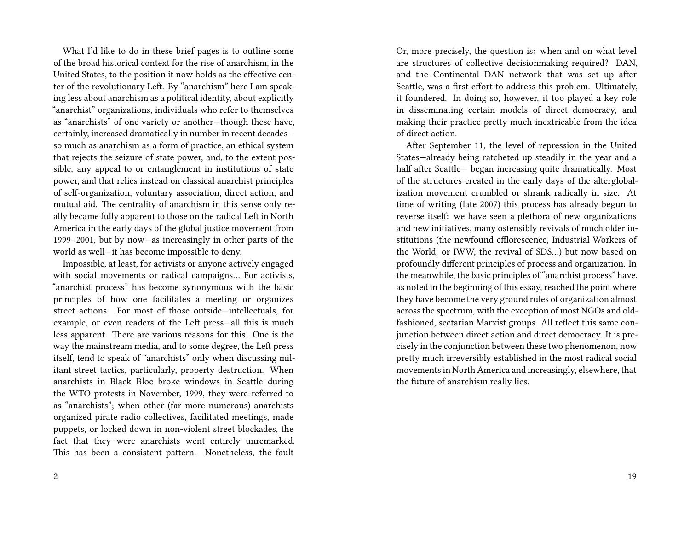What I'd like to do in these brief pages is to outline some of the broad historical context for the rise of anarchism, in the United States, to the position it now holds as the effective center of the revolutionary Left. By "anarchism" here I am speaking less about anarchism as a political identity, about explicitly "anarchist" organizations, individuals who refer to themselves as "anarchists" of one variety or another—though these have, certainly, increased dramatically in number in recent decades so much as anarchism as a form of practice, an ethical system that rejects the seizure of state power, and, to the extent possible, any appeal to or entanglement in institutions of state power, and that relies instead on classical anarchist principles of self-organization, voluntary association, direct action, and mutual aid. The centrality of anarchism in this sense only really became fully apparent to those on the radical Left in North America in the early days of the global justice movement from 1999–2001, but by now—as increasingly in other parts of the world as well—it has become impossible to deny.

Impossible, at least, for activists or anyone actively engaged with social movements or radical campaigns… For activists, "anarchist process" has become synonymous with the basic principles of how one facilitates a meeting or organizes street actions. For most of those outside—intellectuals, for example, or even readers of the Left press—all this is much less apparent. There are various reasons for this. One is the way the mainstream media, and to some degree, the Left press itself, tend to speak of "anarchists" only when discussing militant street tactics, particularly, property destruction. When anarchists in Black Bloc broke windows in Seattle during the WTO protests in November, 1999, they were referred to as "anarchists"; when other (far more numerous) anarchists organized pirate radio collectives, facilitated meetings, made puppets, or locked down in non-violent street blockades, the fact that they were anarchists went entirely unremarked. This has been a consistent pattern. Nonetheless, the fault

Or, more precisely, the question is: when and on what level are structures of collective decisionmaking required? DAN, and the Continental DAN network that was set up after Seattle, was a first effort to address this problem. Ultimately, it foundered. In doing so, however, it too played a key role in disseminating certain models of direct democracy, and making their practice pretty much inextricable from the idea of direct action.

After September 11, the level of repression in the United States—already being ratcheted up steadily in the year and a half after Seattle— began increasing quite dramatically. Most of the structures created in the early days of the alterglobalization movement crumbled or shrank radically in size. At time of writing (late 2007) this process has already begun to reverse itself: we have seen a plethora of new organizations and new initiatives, many ostensibly revivals of much older institutions (the newfound efflorescence, Industrial Workers of the World, or IWW, the revival of SDS…) but now based on profoundly different principles of process and organization. In the meanwhile, the basic principles of "anarchist process" have, as noted in the beginning of this essay, reached the point where they have become the very ground rules of organization almost across the spectrum, with the exception of most NGOs and oldfashioned, sectarian Marxist groups. All reflect this same conjunction between direct action and direct democracy. It is precisely in the conjunction between these two phenomenon, now pretty much irreversibly established in the most radical social movements in North America and increasingly, elsewhere, that the future of anarchism really lies.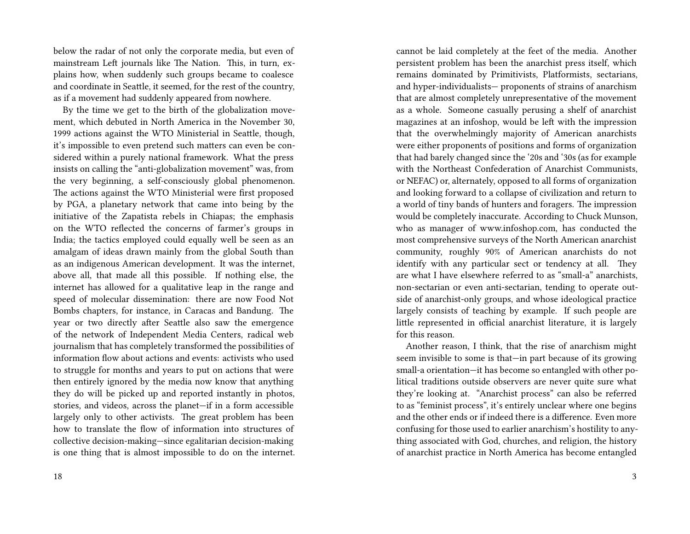below the radar of not only the corporate media, but even of mainstream Left journals like The Nation. This, in turn, explains how, when suddenly such groups became to coalesce and coordinate in Seattle, it seemed, for the rest of the country, as if a movement had suddenly appeared from nowhere.

By the time we get to the birth of the globalization movement, which debuted in North America in the November 30, 1999 actions against the WTO Ministerial in Seattle, though, it's impossible to even pretend such matters can even be considered within a purely national framework. What the press insists on calling the "anti-globalization movement" was, from the very beginning, a self-consciously global phenomenon. The actions against the WTO Ministerial were first proposed by PGA, a planetary network that came into being by the initiative of the Zapatista rebels in Chiapas; the emphasis on the WTO reflected the concerns of farmer's groups in India; the tactics employed could equally well be seen as an amalgam of ideas drawn mainly from the global South than as an indigenous American development. It was the internet, above all, that made all this possible. If nothing else, the internet has allowed for a qualitative leap in the range and speed of molecular dissemination: there are now Food Not Bombs chapters, for instance, in Caracas and Bandung. The year or two directly after Seattle also saw the emergence of the network of Independent Media Centers, radical web journalism that has completely transformed the possibilities of information flow about actions and events: activists who used to struggle for months and years to put on actions that were then entirely ignored by the media now know that anything they do will be picked up and reported instantly in photos, stories, and videos, across the planet—if in a form accessible largely only to other activists. The great problem has been how to translate the flow of information into structures of collective decision-making—since egalitarian decision-making is one thing that is almost impossible to do on the internet.

18

cannot be laid completely at the feet of the media. Another persistent problem has been the anarchist press itself, which remains dominated by Primitivists, Platformists, sectarians, and hyper-individualists— proponents of strains of anarchism that are almost completely unrepresentative of the movement as a whole. Someone casually perusing a shelf of anarchist magazines at an infoshop, would be left with the impression that the overwhelmingly majority of American anarchists were either proponents of positions and forms of organization that had barely changed since the '20s and '30s (as for example with the Northeast Confederation of Anarchist Communists, or NEFAC) or, alternately, opposed to all forms of organization and looking forward to a collapse of civilization and return to a world of tiny bands of hunters and foragers. The impression would be completely inaccurate. According to Chuck Munson, who as manager of www.infoshop.com, has conducted the most comprehensive surveys of the North American anarchist community, roughly 90% of American anarchists do not identify with any particular sect or tendency at all. They are what I have elsewhere referred to as "small-a" anarchists, non-sectarian or even anti-sectarian, tending to operate outside of anarchist-only groups, and whose ideological practice largely consists of teaching by example. If such people are little represented in official anarchist literature, it is largely for this reason.

Another reason, I think, that the rise of anarchism might seem invisible to some is that—in part because of its growing small-a orientation—it has become so entangled with other political traditions outside observers are never quite sure what they're looking at. "Anarchist process" can also be referred to as "feminist process", it's entirely unclear where one begins and the other ends or if indeed there is a difference. Even more confusing for those used to earlier anarchism's hostility to anything associated with God, churches, and religion, the history of anarchist practice in North America has become entangled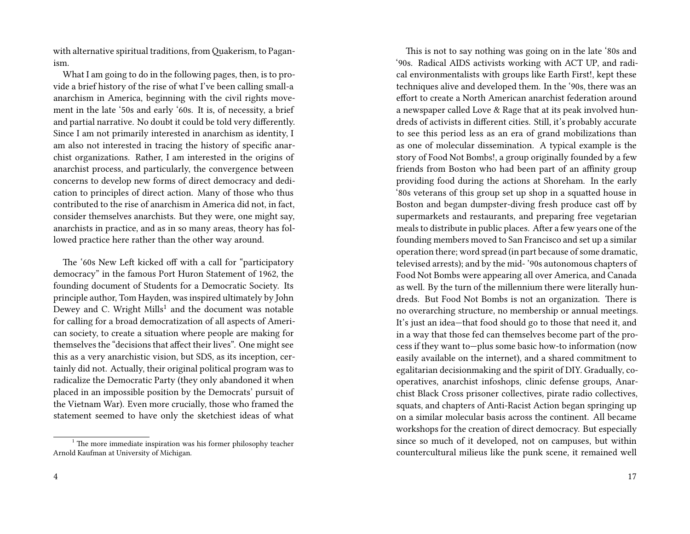with alternative spiritual traditions, fromQuakerism, to Paganism.

What I am going to do in the following pages, then, is to provide a brief history of the rise of what I've been calling small-a anarchism in America, beginning with the civil rights movement in the late '50s and early '60s. It is, of necessity, a brief and partial narrative. No doubt it could be told very differently. Since I am not primarily interested in anarchism as identity, I am also not interested in tracing the history of specific anarchist organizations. Rather, I am interested in the origins of anarchist process, and particularly, the convergence between concerns to develop new forms of direct democracy and dedication to principles of direct action. Many of those who thus contributed to the rise of anarchism in America did not, in fact, consider themselves anarchists. But they were, one might say, anarchists in practice, and as in so many areas, theory has followed practice here rather than the other way around.

The '60s New Left kicked off with a call for "participatory democracy" in the famous Port Huron Statement of 1962, the founding document of Students for a Democratic Society. Its principle author, Tom Hayden, was inspired ultimately by John Dewey and C. Wright Mills $^1$  and the document was notable for calling for a broad democratization of all aspects of American society, to create a situation where people are making for themselves the "decisions that affect their lives". One might see this as a very anarchistic vision, but SDS, as its inception, certainly did not. Actually, their original political program was to radicalize the Democratic Party (they only abandoned it when placed in an impossible position by the Democrats' pursuit of the Vietnam War). Even more crucially, those who framed the statement seemed to have only the sketchiest ideas of what

This is not to say nothing was going on in the late '80s and '90s. Radical AIDS activists working with ACT UP, and radical environmentalists with groups like Earth First!, kept these techniques alive and developed them. In the '90s, there was an effort to create a North American anarchist federation around a newspaper called Love & Rage that at its peak involved hundreds of activists in different cities. Still, it's probably accurate to see this period less as an era of grand mobilizations than as one of molecular dissemination. A typical example is the story of Food Not Bombs!, a group originally founded by a few friends from Boston who had been part of an affinity group providing food during the actions at Shoreham. In the early '80s veterans of this group set up shop in a squatted house in Boston and began dumpster-diving fresh produce cast off by supermarkets and restaurants, and preparing free vegetarian meals to distribute in public places. After a few years one of the founding members moved to San Francisco and set up a similar operation there; word spread (in part because of some dramatic, televised arrests); and by the mid- '90s autonomous chapters of Food Not Bombs were appearing all over America, and Canada as well. By the turn of the millennium there were literally hundreds. But Food Not Bombs is not an organization. There is no overarching structure, no membership or annual meetings. It's just an idea—that food should go to those that need it, and in a way that those fed can themselves become part of the process if they want to—plus some basic how-to information (now easily available on the internet), and a shared commitment to egalitarian decisionmaking and the spirit of DIY. Gradually, cooperatives, anarchist infoshops, clinic defense groups, Anarchist Black Cross prisoner collectives, pirate radio collectives, squats, and chapters of Anti-Racist Action began springing up on a similar molecular basis across the continent. All became workshops for the creation of direct democracy. But especially since so much of it developed, not on campuses, but within countercultural milieus like the punk scene, it remained well

 $1$ <sup>1</sup> The more immediate inspiration was his former philosophy teacher Arnold Kaufman at University of Michigan.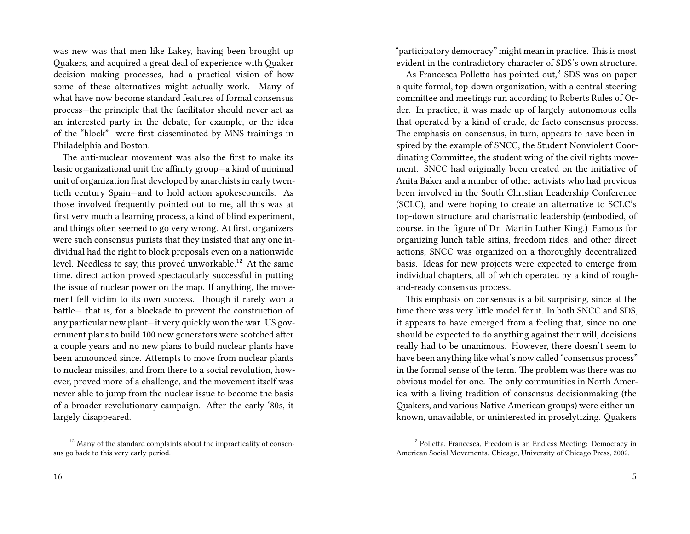was new was that men like Lakey, having been brought up Quakers, and acquired a great deal of experience with Quaker decision making processes, had a practical vision of how some of these alternatives might actually work. Many of what have now become standard features of formal consensus process—the principle that the facilitator should never act as an interested party in the debate, for example, or the idea of the "block"—were first disseminated by MNS trainings in Philadelphia and Boston.

The anti-nuclear movement was also the first to make its basic organizational unit the affinity group—a kind of minimal unit of organization first developed by anarchists in early twentieth century Spain—and to hold action spokescouncils. As those involved frequently pointed out to me, all this was at first very much a learning process, a kind of blind experiment, and things often seemed to go very wrong. At first, organizers were such consensus purists that they insisted that any one individual had the right to block proposals even on a nationwide level. Needless to say, this proved unworkable.<sup>12</sup> At the same time, direct action proved spectacularly successful in putting the issue of nuclear power on the map. If anything, the movement fell victim to its own success. Though it rarely won a battle— that is, for a blockade to prevent the construction of any particular new plant—it very quickly won the war. US government plans to build 100 new generators were scotched after a couple years and no new plans to build nuclear plants have been announced since. Attempts to move from nuclear plants to nuclear missiles, and from there to a social revolution, however, proved more of a challenge, and the movement itself was never able to jump from the nuclear issue to become the basis of a broader revolutionary campaign. After the early '80s, it largely disappeared.

 $12$  Many of the standard complaints about the impracticality of consensus go back to this very early period.

"participatory democracy" might mean in practice. This is most evident in the contradictory character of SDS's own structure.

As Francesca Polletta has pointed out,<sup>2</sup> SDS was on paper a quite formal, top-down organization, with a central steering committee and meetings run according to Roberts Rules of Order. In practice, it was made up of largely autonomous cells that operated by a kind of crude, de facto consensus process. The emphasis on consensus, in turn, appears to have been inspired by the example of SNCC, the Student Nonviolent Coordinating Committee, the student wing of the civil rights movement. SNCC had originally been created on the initiative of Anita Baker and a number of other activists who had previous been involved in the South Christian Leadership Conference (SCLC), and were hoping to create an alternative to SCLC's top-down structure and charismatic leadership (embodied, of course, in the figure of Dr. Martin Luther King.) Famous for organizing lunch table sitins, freedom rides, and other direct actions, SNCC was organized on a thoroughly decentralized basis. Ideas for new projects were expected to emerge from individual chapters, all of which operated by a kind of roughand-ready consensus process.

This emphasis on consensus is a bit surprising, since at the time there was very little model for it. In both SNCC and SDS, it appears to have emerged from a feeling that, since no one should be expected to do anything against their will, decisions really had to be unanimous. However, there doesn't seem to have been anything like what's now called "consensus process" in the formal sense of the term. The problem was there was no obvious model for one. The only communities in North America with a living tradition of consensus decisionmaking (the Quakers, and various Native American groups) were either unknown, unavailable, or uninterested in proselytizing. Quakers

<sup>&</sup>lt;sup>2</sup> Polletta, Francesca, Freedom is an Endless Meeting: Democracy in American Social Movements. Chicago, University of Chicago Press, 2002.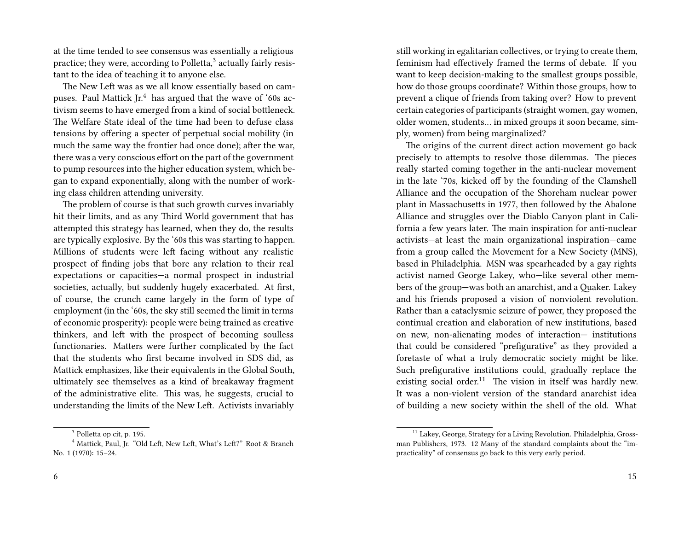at the time tended to see consensus was essentially a religious practice; they were, according to Polletta,<sup>3</sup> actually fairly resistant to the idea of teaching it to anyone else.

The New Left was as we all know essentially based on campuses. Paul Mattick  $Jr^4$  has argued that the wave of '60s activism seems to have emerged from a kind of social bottleneck. The Welfare State ideal of the time had been to defuse class tensions by offering a specter of perpetual social mobility (in much the same way the frontier had once done); after the war, there was a very conscious effort on the part of the government to pump resources into the higher education system, which began to expand exponentially, along with the number of working class children attending university.

The problem of course is that such growth curves invariably hit their limits, and as any Third World government that has attempted this strategy has learned, when they do, the results are typically explosive. By the '60s this was starting to happen. Millions of students were left facing without any realistic prospect of finding jobs that bore any relation to their real expectations or capacities—a normal prospect in industrial societies, actually, but suddenly hugely exacerbated. At first, of course, the crunch came largely in the form of type of employment (in the '60s, the sky still seemed the limit in terms of economic prosperity): people were being trained as creative thinkers, and left with the prospect of becoming soulless functionaries. Matters were further complicated by the fact that the students who first became involved in SDS did, as Mattick emphasizes, like their equivalents in the Global South, ultimately see themselves as a kind of breakaway fragment of the administrative elite. This was, he suggests, crucial to understanding the limits of the New Left. Activists invariably

still working in egalitarian collectives, or trying to create them, feminism had effectively framed the terms of debate. If you want to keep decision-making to the smallest groups possible, how do those groups coordinate? Within those groups, how to prevent a clique of friends from taking over? How to prevent certain categories of participants (straight women, gay women, older women, students… in mixed groups it soon became, simply, women) from being marginalized?

The origins of the current direct action movement go back precisely to attempts to resolve those dilemmas. The pieces really started coming together in the anti-nuclear movement in the late '70s, kicked off by the founding of the Clamshell Alliance and the occupation of the Shoreham nuclear power plant in Massachusetts in 1977, then followed by the Abalone Alliance and struggles over the Diablo Canyon plant in California a few years later. The main inspiration for anti-nuclear activists—at least the main organizational inspiration—came from a group called the Movement for a New Society (MNS), based in Philadelphia. MSN was spearheaded by a gay rights activist named George Lakey, who—like several other members of the group—was both an anarchist, and a Quaker. Lakey and his friends proposed a vision of nonviolent revolution. Rather than a cataclysmic seizure of power, they proposed the continual creation and elaboration of new institutions, based on new, non-alienating modes of interaction— institutions that could be considered "prefigurative" as they provided a foretaste of what a truly democratic society might be like. Such prefigurative institutions could, gradually replace the existing social order.<sup>11</sup> The vision in itself was hardly new. It was a non-violent version of the standard anarchist idea of building a new society within the shell of the old. What

<sup>&</sup>lt;sup>3</sup> Polletta op cit, p. 195.

<sup>&</sup>lt;sup>4</sup> Mattick, Paul, Jr. "Old Left, New Left, What's Left?" Root & Branch No. 1 (1970): 15–24.

<sup>&</sup>lt;sup>11</sup> Lakey, George, Strategy for a Living Revolution. Philadelphia, Grossman Publishers, 1973. 12 Many of the standard complaints about the "impracticality" of consensus go back to this very early period.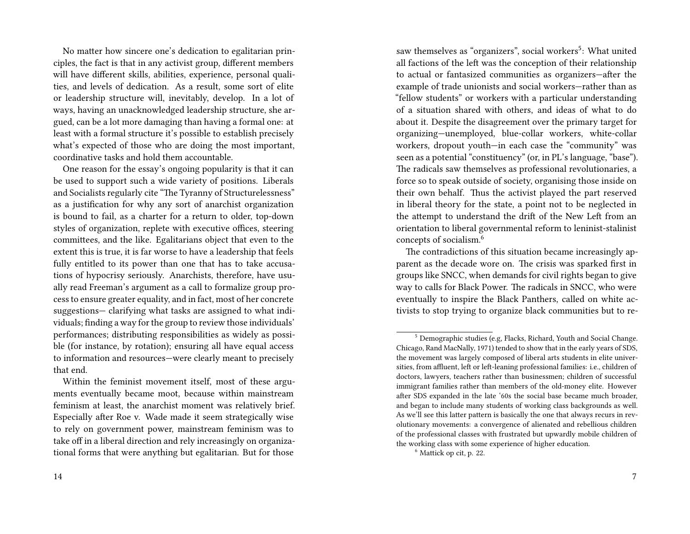No matter how sincere one's dedication to egalitarian principles, the fact is that in any activist group, different members will have different skills, abilities, experience, personal qualities, and levels of dedication. As a result, some sort of elite or leadership structure will, inevitably, develop. In a lot of ways, having an unacknowledged leadership structure, she argued, can be a lot more damaging than having a formal one: at least with a formal structure it's possible to establish precisely what's expected of those who are doing the most important, coordinative tasks and hold them accountable.

One reason for the essay's ongoing popularity is that it can be used to support such a wide variety of positions. Liberals and Socialists regularly cite "The Tyranny of Structurelessness" as a justification for why any sort of anarchist organization is bound to fail, as a charter for a return to older, top-down styles of organization, replete with executive offices, steering committees, and the like. Egalitarians object that even to the extent this is true, it is far worse to have a leadership that feels fully entitled to its power than one that has to take accusations of hypocrisy seriously. Anarchists, therefore, have usually read Freeman's argument as a call to formalize group process to ensure greater equality, and in fact, most of her concrete suggestions— clarifying what tasks are assigned to what individuals; finding a way for the group to review those individuals' performances; distributing responsibilities as widely as possible (for instance, by rotation); ensuring all have equal access to information and resources—were clearly meant to precisely that end.

Within the feminist movement itself, most of these arguments eventually became moot, because within mainstream feminism at least, the anarchist moment was relatively brief. Especially after Roe v. Wade made it seem strategically wise to rely on government power, mainstream feminism was to take off in a liberal direction and rely increasingly on organizational forms that were anything but egalitarian. But for those

saw themselves as "organizers", social workers<sup>5</sup>: What united all factions of the left was the conception of their relationship to actual or fantasized communities as organizers—after the example of trade unionists and social workers—rather than as "fellow students" or workers with a particular understanding of a situation shared with others, and ideas of what to do about it. Despite the disagreement over the primary target for organizing—unemployed, blue-collar workers, white-collar workers, dropout youth—in each case the "community" was seen as a potential "constituency" (or, in PL's language, "base"). The radicals saw themselves as professional revolutionaries, a force so to speak outside of society, organising those inside on their own behalf. Thus the activist played the part reserved in liberal theory for the state, a point not to be neglected in the attempt to understand the drift of the New Left from an orientation to liberal governmental reform to leninist-stalinist concepts of socialism.<sup>6</sup>

The contradictions of this situation became increasingly apparent as the decade wore on. The crisis was sparked first in groups like SNCC, when demands for civil rights began to give way to calls for Black Power. The radicals in SNCC, who were eventually to inspire the Black Panthers, called on white activists to stop trying to organize black communities but to re-

<sup>5</sup> Demographic studies (e.g, Flacks, Richard, Youth and Social Change. Chicago, Rand MacNally, 1971) tended to show that in the early years of SDS, the movement was largely composed of liberal arts students in elite universities, from affluent, left or left-leaning professional families: i.e., children of doctors, lawyers, teachers rather than businessmen; children of successful immigrant families rather than members of the old-money elite. However after SDS expanded in the late '60s the social base became much broader, and began to include many students of working class backgrounds as well. As we'll see this latter pattern is basically the one that always recurs in revolutionary movements: a convergence of alienated and rebellious children of the professional classes with frustrated but upwardly mobile children of the working class with some experience of higher education.

<sup>6</sup> Mattick op cit, p. 22.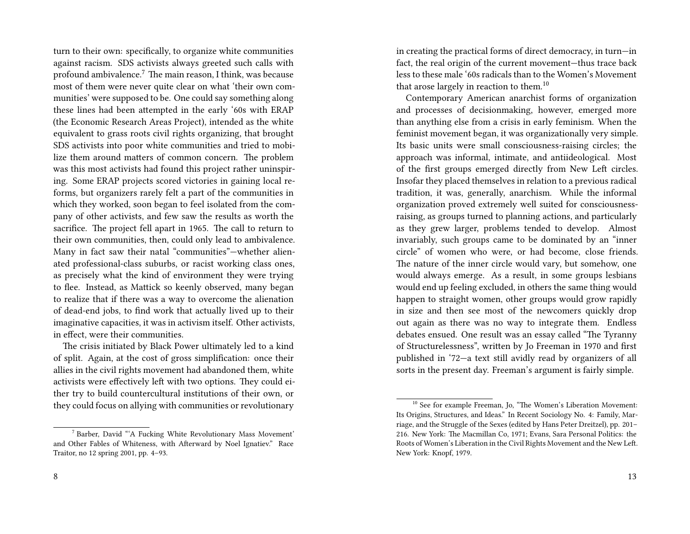turn to their own: specifically, to organize white communities against racism. SDS activists always greeted such calls with profound ambivalence.<sup>7</sup> The main reason, I think, was because most of them were never quite clear on what 'their own communities' were supposed to be. One could say something along these lines had been attempted in the early '60s with ERAP (the Economic Research Areas Project), intended as the white equivalent to grass roots civil rights organizing, that brought SDS activists into poor white communities and tried to mobilize them around matters of common concern. The problem was this most activists had found this project rather uninspiring. Some ERAP projects scored victories in gaining local reforms, but organizers rarely felt a part of the communities in which they worked, soon began to feel isolated from the company of other activists, and few saw the results as worth the sacrifice. The project fell apart in 1965. The call to return to their own communities, then, could only lead to ambivalence. Many in fact saw their natal "communities"—whether alienated professional-class suburbs, or racist working class ones, as precisely what the kind of environment they were trying to flee. Instead, as Mattick so keenly observed, many began to realize that if there was a way to overcome the alienation of dead-end jobs, to find work that actually lived up to their imaginative capacities, it was in activism itself. Other activists, in effect, were their communities.

The crisis initiated by Black Power ultimately led to a kind of split. Again, at the cost of gross simplification: once their allies in the civil rights movement had abandoned them, white activists were effectively left with two options. They could either try to build countercultural institutions of their own, or they could focus on allying with communities or revolutionary

in creating the practical forms of direct democracy, in turn—in fact, the real origin of the current movement—thus trace back less to these male '60s radicals than to the Women's Movement that arose largely in reaction to them.<sup>10</sup>

Contemporary American anarchist forms of organization and processes of decisionmaking, however, emerged more than anything else from a crisis in early feminism. When the feminist movement began, it was organizationally very simple. Its basic units were small consciousness-raising circles; the approach was informal, intimate, and antiideological. Most of the first groups emerged directly from New Left circles. Insofar they placed themselves in relation to a previous radical tradition, it was, generally, anarchism. While the informal organization proved extremely well suited for consciousnessraising, as groups turned to planning actions, and particularly as they grew larger, problems tended to develop. Almost invariably, such groups came to be dominated by an "inner circle" of women who were, or had become, close friends. The nature of the inner circle would vary, but somehow, one would always emerge. As a result, in some groups lesbians would end up feeling excluded, in others the same thing would happen to straight women, other groups would grow rapidly in size and then see most of the newcomers quickly drop out again as there was no way to integrate them. Endless debates ensued. One result was an essay called "The Tyranny of Structurelessness", written by Jo Freeman in 1970 and first published in '72—a text still avidly read by organizers of all sorts in the present day. Freeman's argument is fairly simple.

<sup>7</sup> Barber, David "'A Fucking White Revolutionary Mass Movement' and Other Fables of Whiteness, with Afterward by Noel Ignatiev." Race Traitor, no 12 spring 2001, pp. 4–93.

<sup>&</sup>lt;sup>10</sup> See for example Freeman, Jo, "The Women's Liberation Movement: Its Origins, Structures, and Ideas." In Recent Sociology No. 4: Family, Marriage, and the Struggle of the Sexes (edited by Hans Peter Dreitzel), pp. 201– 216. New York: The Macmillan Co, 1971; Evans, Sara Personal Politics: the Roots of Women's Liberation in the Civil Rights Movement and the New Left. New York: Knopf, 1979.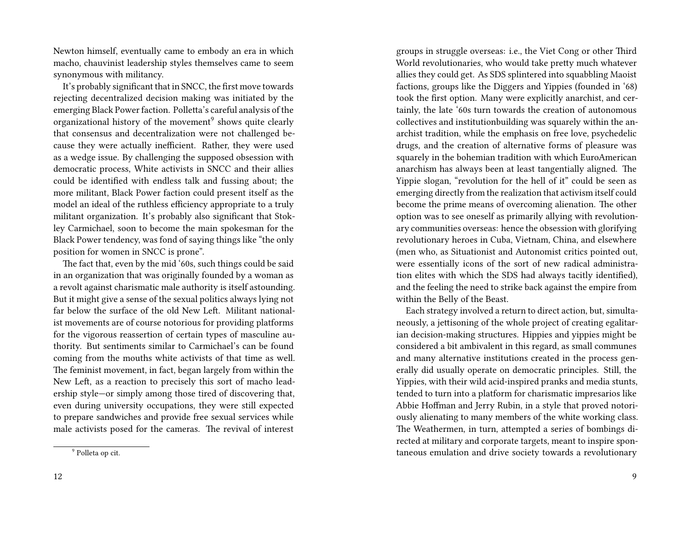Newton himself, eventually came to embody an era in which macho, chauvinist leadership styles themselves came to seem synonymous with militancy.

It's probably significant that in SNCC, the first move towards rejecting decentralized decision making was initiated by the emerging Black Power faction. Polletta's careful analysis of the organizational history of the movement<sup>9</sup> shows quite clearly that consensus and decentralization were not challenged because they were actually inefficient. Rather, they were used as a wedge issue. By challenging the supposed obsession with democratic process, White activists in SNCC and their allies could be identified with endless talk and fussing about; the more militant, Black Power faction could present itself as the model an ideal of the ruthless efficiency appropriate to a truly militant organization. It's probably also significant that Stokley Carmichael, soon to become the main spokesman for the Black Power tendency, was fond of saying things like "the only position for women in SNCC is prone".

The fact that, even by the mid '60s, such things could be said in an organization that was originally founded by a woman as a revolt against charismatic male authority is itself astounding. But it might give a sense of the sexual politics always lying not far below the surface of the old New Left. Militant nationalist movements are of course notorious for providing platforms for the vigorous reassertion of certain types of masculine authority. But sentiments similar to Carmichael's can be found coming from the mouths white activists of that time as well. The feminist movement, in fact, began largely from within the New Left, as a reaction to precisely this sort of macho leadership style—or simply among those tired of discovering that, even during university occupations, they were still expected to prepare sandwiches and provide free sexual services while male activists posed for the cameras. The revival of interest

groups in struggle overseas: i.e., the Viet Cong or other Third World revolutionaries, who would take pretty much whatever allies they could get. As SDS splintered into squabbling Maoist factions, groups like the Diggers and Yippies (founded in '68) took the first option. Many were explicitly anarchist, and certainly, the late '60s turn towards the creation of autonomous collectives and institutionbuilding was squarely within the anarchist tradition, while the emphasis on free love, psychedelic drugs, and the creation of alternative forms of pleasure was squarely in the bohemian tradition with which EuroAmerican anarchism has always been at least tangentially aligned. The Yippie slogan, "revolution for the hell of it" could be seen as emerging directly from the realization that activism itself could become the prime means of overcoming alienation. The other option was to see oneself as primarily allying with revolutionary communities overseas: hence the obsession with glorifying revolutionary heroes in Cuba, Vietnam, China, and elsewhere (men who, as Situationist and Autonomist critics pointed out, were essentially icons of the sort of new radical administration elites with which the SDS had always tacitly identified), and the feeling the need to strike back against the empire from within the Belly of the Beast.

Each strategy involved a return to direct action, but, simultaneously, a jettisoning of the whole project of creating egalitarian decision-making structures. Hippies and yippies might be considered a bit ambivalent in this regard, as small communes and many alternative institutions created in the process generally did usually operate on democratic principles. Still, the Yippies, with their wild acid-inspired pranks and media stunts, tended to turn into a platform for charismatic impresarios like Abbie Hoffman and Jerry Rubin, in a style that proved notoriously alienating to many members of the white working class. The Weathermen, in turn, attempted a series of bombings directed at military and corporate targets, meant to inspire spontaneous emulation and drive society towards a revolutionary

<sup>&</sup>lt;sup>9</sup> Polleta op cit.